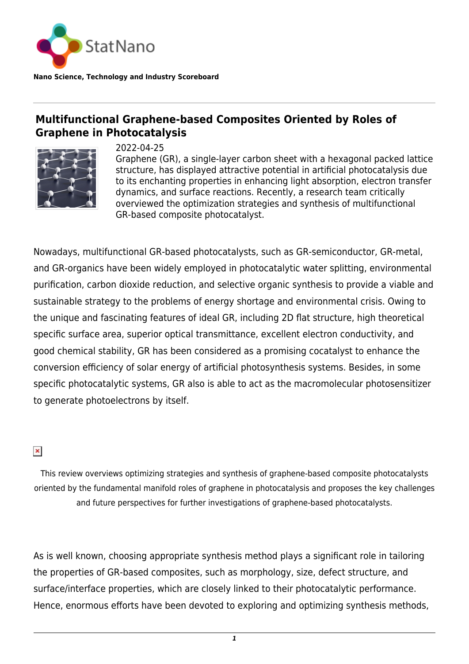

**Nano Science, Technology and Industry Scoreboard**

## **Multifunctional Graphene-based Composites Oriented by Roles of Graphene in Photocatalysis**



2022-04-25

Graphene (GR), a single-layer carbon sheet with a hexagonal packed lattice structure, has displayed attractive potential in artificial photocatalysis due to its enchanting properties in enhancing light absorption, electron transfer dynamics, and surface reactions. Recently, a research team critically overviewed the optimization strategies and synthesis of multifunctional GR-based composite photocatalyst.

Nowadays, multifunctional GR-based photocatalysts, such as GR-semiconductor, GR-metal, and GR-organics have been widely employed in photocatalytic water splitting, environmental purification, carbon dioxide reduction, and selective organic synthesis to provide a viable and sustainable strategy to the problems of energy shortage and environmental crisis. Owing to the unique and fascinating features of ideal GR, including 2D flat structure, high theoretical specific surface area, superior optical transmittance, excellent electron conductivity, and good chemical stability, GR has been considered as a promising cocatalyst to enhance the conversion efficiency of solar energy of artificial photosynthesis systems. Besides, in some specific photocatalytic systems, GR also is able to act as the macromolecular photosensitizer to generate photoelectrons by itself.

 $\pmb{\times}$ 

This review overviews optimizing strategies and synthesis of graphene-based composite photocatalysts oriented by the fundamental manifold roles of graphene in photocatalysis and proposes the key challenges and future perspectives for further investigations of graphene-based photocatalysts.

As is well known, choosing appropriate synthesis method plays a significant role in tailoring the properties of GR-based composites, such as morphology, size, defect structure, and surface/interface properties, which are closely linked to their photocatalytic performance. Hence, enormous efforts have been devoted to exploring and optimizing synthesis methods,